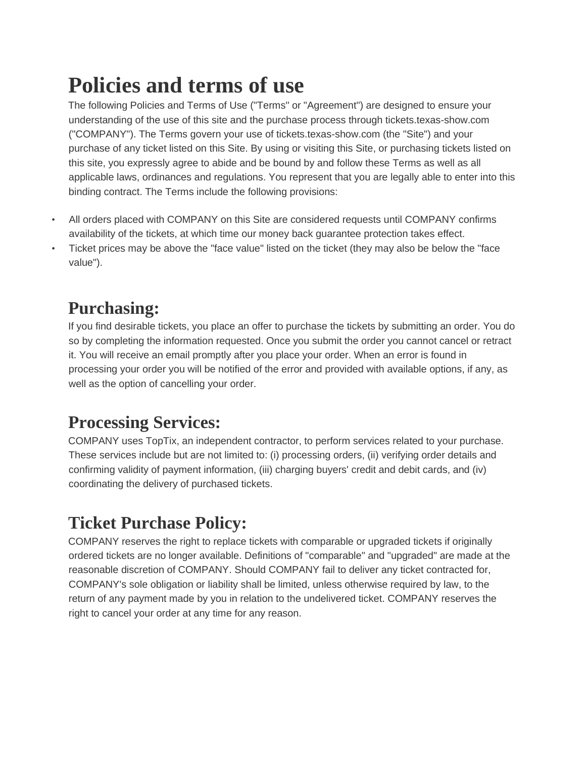# **Policies and terms of use**

The following Policies and Terms of Use ("Terms" or "Agreement") are designed to ensure your understanding of the use of this site and the purchase process through tickets.texas-show.com ("COMPANY"). The Terms govern your use of tickets.texas-show.com (the "Site") and your purchase of any ticket listed on this Site. By using or visiting this Site, or purchasing tickets listed on this site, you expressly agree to abide and be bound by and follow these Terms as well as all applicable laws, ordinances and regulations. You represent that you are legally able to enter into this binding contract. The Terms include the following provisions:

- All orders placed with COMPANY on this Site are considered requests until COMPANY confirms availability of the tickets, at which time our money back guarantee protection takes effect.
- Ticket prices may be above the "face value" listed on the ticket (they may also be below the "face value").

# **Purchasing:**

If you find desirable tickets, you place an offer to purchase the tickets by submitting an order. You do so by completing the information requested. Once you submit the order you cannot cancel or retract it. You will receive an email promptly after you place your order. When an error is found in processing your order you will be notified of the error and provided with available options, if any, as well as the option of cancelling your order.

### **Processing Services:**

COMPANY uses TopTix, an independent contractor, to perform services related to your purchase. These services include but are not limited to: (i) processing orders, (ii) verifying order details and confirming validity of payment information, (iii) charging buyers' credit and debit cards, and (iv) coordinating the delivery of purchased tickets.

# **Ticket Purchase Policy:**

COMPANY reserves the right to replace tickets with comparable or upgraded tickets if originally ordered tickets are no longer available. Definitions of "comparable" and "upgraded" are made at the reasonable discretion of COMPANY. Should COMPANY fail to deliver any ticket contracted for, COMPANY's sole obligation or liability shall be limited, unless otherwise required by law, to the return of any payment made by you in relation to the undelivered ticket. COMPANY reserves the right to cancel your order at any time for any reason.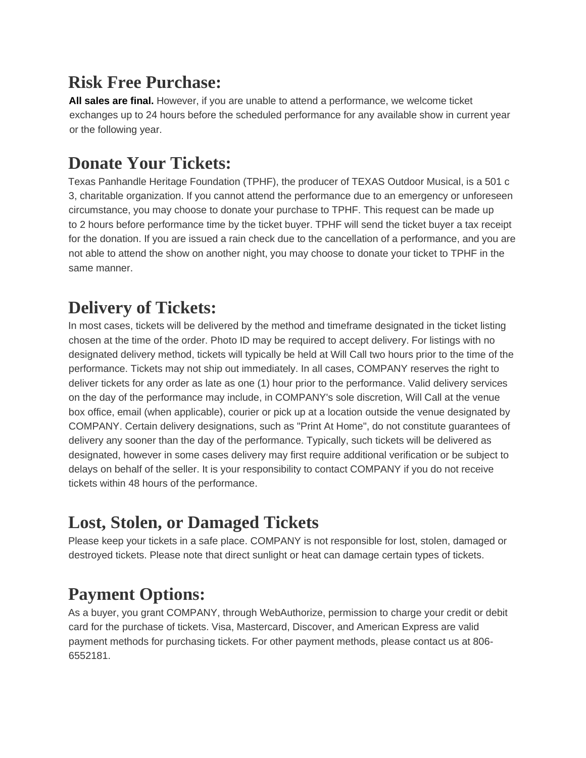# **Risk Free Purchase:**

**All sales are final.** However, if you are unable to attend a performance, we welcome ticket exchanges up to 24 hours before the scheduled performance for any available show in current year or the following year.

### **Donate Your Tickets:**

Texas Panhandle Heritage Foundation (TPHF), the producer of TEXAS Outdoor Musical, is a 501 c 3, charitable organization. If you cannot attend the performance due to an emergency or unforeseen circumstance, you may choose to donate your purchase to TPHF. This request can be made up to 2 hours before performance time by the ticket buyer. TPHF will send the ticket buyer a tax receipt for the donation. If you are issued a rain check due to the cancellation of a performance, and you are not able to attend the show on another night, you may choose to donate your ticket to TPHF in the same manner.

### **Delivery of Tickets:**

In most cases, tickets will be delivered by the method and timeframe designated in the ticket listing chosen at the time of the order. Photo ID may be required to accept delivery. For listings with no designated delivery method, tickets will typically be held at Will Call two hours prior to the time of the performance. Tickets may not ship out immediately. In all cases, COMPANY reserves the right to deliver tickets for any order as late as one (1) hour prior to the performance. Valid delivery services on the day of the performance may include, in COMPANY's sole discretion, Will Call at the venue box office, email (when applicable), courier or pick up at a location outside the venue designated by COMPANY. Certain delivery designations, such as "Print At Home", do not constitute guarantees of delivery any sooner than the day of the performance. Typically, such tickets will be delivered as designated, however in some cases delivery may first require additional verification or be subject to delays on behalf of the seller. It is your responsibility to contact COMPANY if you do not receive tickets within 48 hours of the performance.

### **Lost, Stolen, or Damaged Tickets**

Please keep your tickets in a safe place. COMPANY is not responsible for lost, stolen, damaged or destroyed tickets. Please note that direct sunlight or heat can damage certain types of tickets.

# **Payment Options:**

As a buyer, you grant COMPANY, through WebAuthorize, permission to charge your credit or debit card for the purchase of tickets. Visa, Mastercard, Discover, and American Express are valid payment methods for purchasing tickets. For other payment methods, please contact us at 806- 6552181.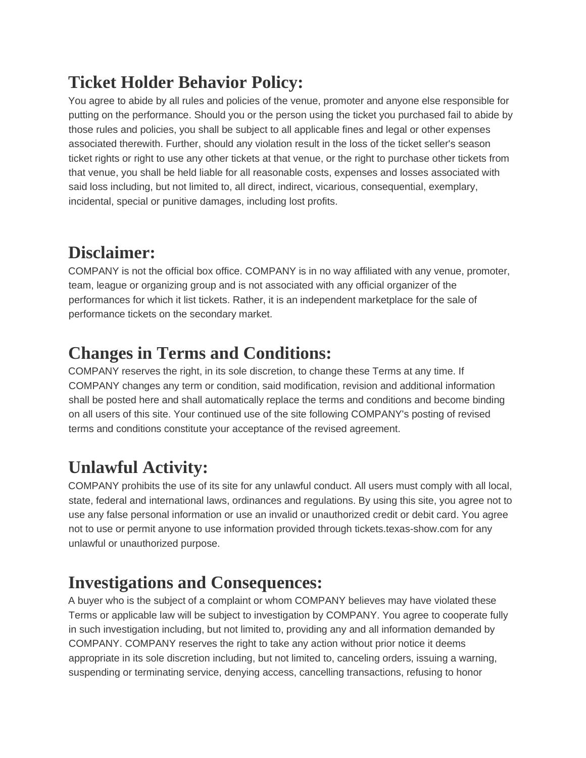# **Ticket Holder Behavior Policy:**

You agree to abide by all rules and policies of the venue, promoter and anyone else responsible for putting on the performance. Should you or the person using the ticket you purchased fail to abide by those rules and policies, you shall be subject to all applicable fines and legal or other expenses associated therewith. Further, should any violation result in the loss of the ticket seller's season ticket rights or right to use any other tickets at that venue, or the right to purchase other tickets from that venue, you shall be held liable for all reasonable costs, expenses and losses associated with said loss including, but not limited to, all direct, indirect, vicarious, consequential, exemplary, incidental, special or punitive damages, including lost profits.

### **Disclaimer:**

COMPANY is not the official box office. COMPANY is in no way affiliated with any venue, promoter, team, league or organizing group and is not associated with any official organizer of the performances for which it list tickets. Rather, it is an independent marketplace for the sale of performance tickets on the secondary market.

### **Changes in Terms and Conditions:**

COMPANY reserves the right, in its sole discretion, to change these Terms at any time. If COMPANY changes any term or condition, said modification, revision and additional information shall be posted here and shall automatically replace the terms and conditions and become binding on all users of this site. Your continued use of the site following COMPANY's posting of revised terms and conditions constitute your acceptance of the revised agreement.

# **Unlawful Activity:**

COMPANY prohibits the use of its site for any unlawful conduct. All users must comply with all local, state, federal and international laws, ordinances and regulations. By using this site, you agree not to use any false personal information or use an invalid or unauthorized credit or debit card. You agree not to use or permit anyone to use information provided through tickets.texas-show.com for any unlawful or unauthorized purpose.

### **Investigations and Consequences:**

A buyer who is the subject of a complaint or whom COMPANY believes may have violated these Terms or applicable law will be subject to investigation by COMPANY. You agree to cooperate fully in such investigation including, but not limited to, providing any and all information demanded by COMPANY. COMPANY reserves the right to take any action without prior notice it deems appropriate in its sole discretion including, but not limited to, canceling orders, issuing a warning, suspending or terminating service, denying access, cancelling transactions, refusing to honor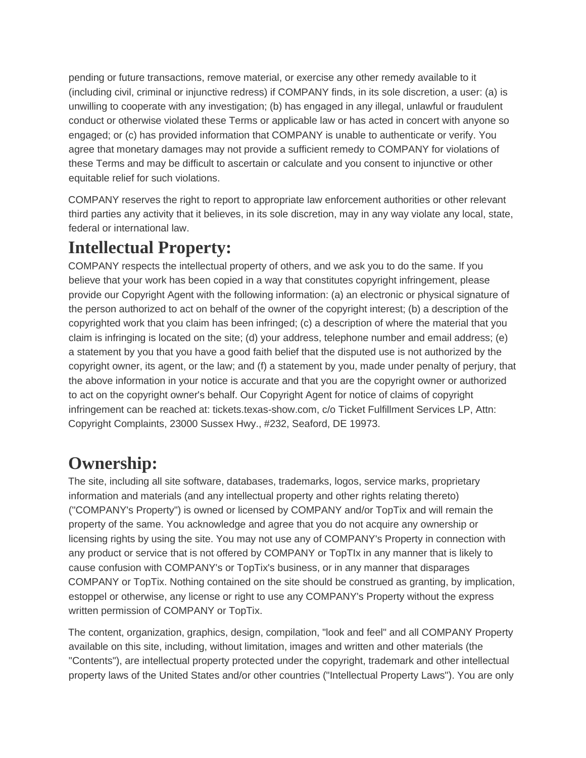pending or future transactions, remove material, or exercise any other remedy available to it (including civil, criminal or injunctive redress) if COMPANY finds, in its sole discretion, a user: (a) is unwilling to cooperate with any investigation; (b) has engaged in any illegal, unlawful or fraudulent conduct or otherwise violated these Terms or applicable law or has acted in concert with anyone so engaged; or (c) has provided information that COMPANY is unable to authenticate or verify. You agree that monetary damages may not provide a sufficient remedy to COMPANY for violations of these Terms and may be difficult to ascertain or calculate and you consent to injunctive or other equitable relief for such violations.

COMPANY reserves the right to report to appropriate law enforcement authorities or other relevant third parties any activity that it believes, in its sole discretion, may in any way violate any local, state, federal or international law.

### **Intellectual Property:**

COMPANY respects the intellectual property of others, and we ask you to do the same. If you believe that your work has been copied in a way that constitutes copyright infringement, please provide our Copyright Agent with the following information: (a) an electronic or physical signature of the person authorized to act on behalf of the owner of the copyright interest; (b) a description of the copyrighted work that you claim has been infringed; (c) a description of where the material that you claim is infringing is located on the site; (d) your address, telephone number and email address; (e) a statement by you that you have a good faith belief that the disputed use is not authorized by the copyright owner, its agent, or the law; and (f) a statement by you, made under penalty of perjury, that the above information in your notice is accurate and that you are the copyright owner or authorized to act on the copyright owner's behalf. Our Copyright Agent for notice of claims of copyright infringement can be reached at: tickets.texas-show.com, c/o Ticket Fulfillment Services LP, Attn: Copyright Complaints, 23000 Sussex Hwy., #232, Seaford, DE 19973.

### **Ownership:**

The site, including all site software, databases, trademarks, logos, service marks, proprietary information and materials (and any intellectual property and other rights relating thereto) ("COMPANY's Property") is owned or licensed by COMPANY and/or TopTix and will remain the property of the same. You acknowledge and agree that you do not acquire any ownership or licensing rights by using the site. You may not use any of COMPANY's Property in connection with any product or service that is not offered by COMPANY or TopTIx in any manner that is likely to cause confusion with COMPANY's or TopTix's business, or in any manner that disparages COMPANY or TopTix. Nothing contained on the site should be construed as granting, by implication, estoppel or otherwise, any license or right to use any COMPANY's Property without the express written permission of COMPANY or TopTix.

The content, organization, graphics, design, compilation, "look and feel" and all COMPANY Property available on this site, including, without limitation, images and written and other materials (the "Contents"), are intellectual property protected under the copyright, trademark and other intellectual property laws of the United States and/or other countries ("Intellectual Property Laws"). You are only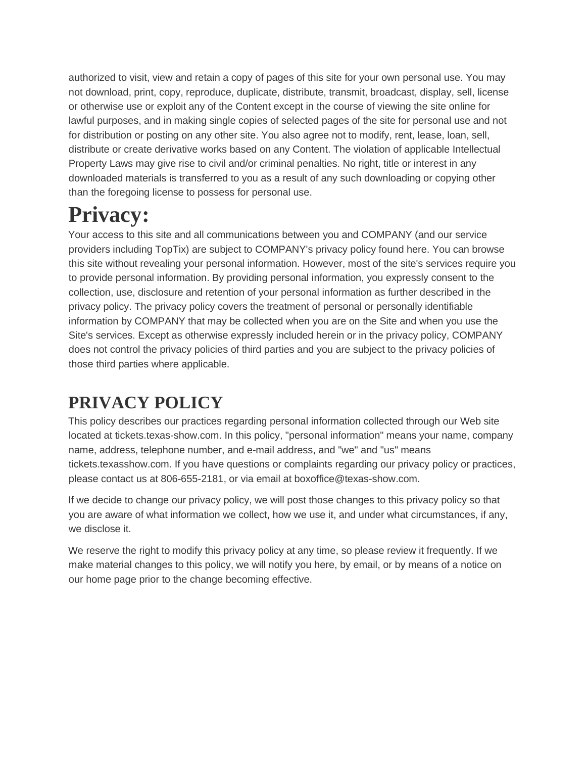authorized to visit, view and retain a copy of pages of this site for your own personal use. You may not download, print, copy, reproduce, duplicate, distribute, transmit, broadcast, display, sell, license or otherwise use or exploit any of the Content except in the course of viewing the site online for lawful purposes, and in making single copies of selected pages of the site for personal use and not for distribution or posting on any other site. You also agree not to modify, rent, lease, loan, sell, distribute or create derivative works based on any Content. The violation of applicable Intellectual Property Laws may give rise to civil and/or criminal penalties. No right, title or interest in any downloaded materials is transferred to you as a result of any such downloading or copying other than the foregoing license to possess for personal use.

# **Privacy:**

Your access to this site and all communications between you and COMPANY (and our service providers including TopTix) are subject to COMPANY's privacy policy found here. You can browse this site without revealing your personal information. However, most of the site's services require you to provide personal information. By providing personal information, you expressly consent to the collection, use, disclosure and retention of your personal information as further described in the privacy policy. The privacy policy covers the treatment of personal or personally identifiable information by COMPANY that may be collected when you are on the Site and when you use the Site's services. Except as otherwise expressly included herein or in the privacy policy, COMPANY does not control the privacy policies of third parties and you are subject to the privacy policies of those third parties where applicable.

# **PRIVACY POLICY**

This policy describes our practices regarding personal information collected through our Web site located at tickets.texas-show.com. In this policy, "personal information" means your name, company name, address, telephone number, and e-mail address, and "we" and "us" means tickets.texasshow.com. If you have questions or complaints regarding our privacy policy or practices, please contact us at 806-655-2181, or via email at boxoffice@texas-show.com.

If we decide to change our privacy policy, we will post those changes to this privacy policy so that you are aware of what information we collect, how we use it, and under what circumstances, if any, we disclose it.

We reserve the right to modify this privacy policy at any time, so please review it frequently. If we make material changes to this policy, we will notify you here, by email, or by means of a notice on our home page prior to the change becoming effective.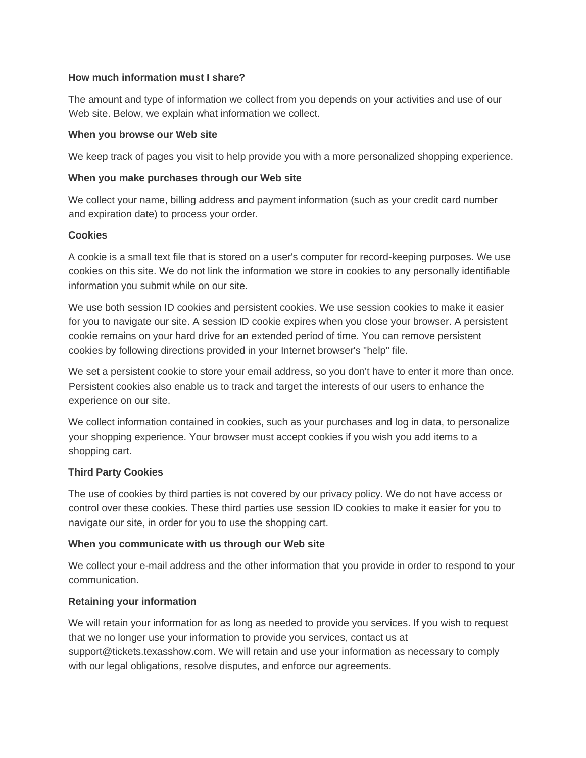#### **How much information must I share?**

The amount and type of information we collect from you depends on your activities and use of our Web site. Below, we explain what information we collect.

#### **When you browse our Web site**

We keep track of pages you visit to help provide you with a more personalized shopping experience.

#### **When you make purchases through our Web site**

We collect your name, billing address and payment information (such as your credit card number and expiration date) to process your order.

#### **Cookies**

A cookie is a small text file that is stored on a user's computer for record-keeping purposes. We use cookies on this site. We do not link the information we store in cookies to any personally identifiable information you submit while on our site.

We use both session ID cookies and persistent cookies. We use session cookies to make it easier for you to navigate our site. A session ID cookie expires when you close your browser. A persistent cookie remains on your hard drive for an extended period of time. You can remove persistent cookies by following directions provided in your Internet browser's "help" file.

We set a persistent cookie to store your email address, so you don't have to enter it more than once. Persistent cookies also enable us to track and target the interests of our users to enhance the experience on our site.

We collect information contained in cookies, such as your purchases and log in data, to personalize your shopping experience. Your browser must accept cookies if you wish you add items to a shopping cart.

#### **Third Party Cookies**

The use of cookies by third parties is not covered by our privacy policy. We do not have access or control over these cookies. These third parties use session ID cookies to make it easier for you to navigate our site, in order for you to use the shopping cart.

#### **When you communicate with us through our Web site**

We collect your e-mail address and the other information that you provide in order to respond to your communication.

#### **Retaining your information**

We will retain your information for as long as needed to provide you services. If you wish to request that we no longer use your information to provide you services, contact us at support@tickets.texasshow.com. We will retain and use your information as necessary to comply with our legal obligations, resolve disputes, and enforce our agreements.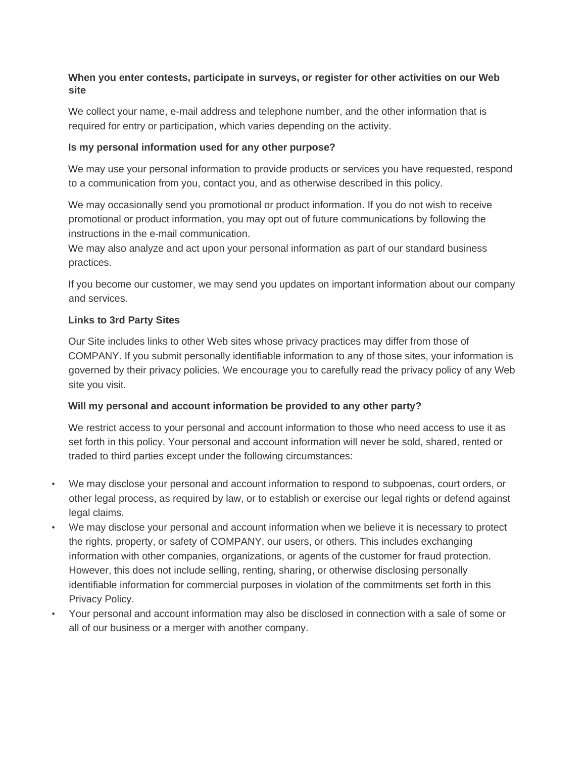#### **When you enter contests, participate in surveys, or register for other activities on our Web site**

We collect your name, e-mail address and telephone number, and the other information that is required for entry or participation, which varies depending on the activity.

#### **Is my personal information used for any other purpose?**

We may use your personal information to provide products or services you have requested, respond to a communication from you, contact you, and as otherwise described in this policy.

We may occasionally send you promotional or product information. If you do not wish to receive promotional or product information, you may opt out of future communications by following the instructions in the e-mail communication.

We may also analyze and act upon your personal information as part of our standard business practices.

If you become our customer, we may send you updates on important information about our company and services.

#### **Links to 3rd Party Sites**

Our Site includes links to other Web sites whose privacy practices may differ from those of COMPANY. If you submit personally identifiable information to any of those sites, your information is governed by their privacy policies. We encourage you to carefully read the privacy policy of any Web site you visit.

#### **Will my personal and account information be provided to any other party?**

We restrict access to your personal and account information to those who need access to use it as set forth in this policy. Your personal and account information will never be sold, shared, rented or traded to third parties except under the following circumstances:

- We may disclose your personal and account information to respond to subpoenas, court orders, or other legal process, as required by law, or to establish or exercise our legal rights or defend against legal claims.
- We may disclose your personal and account information when we believe it is necessary to protect the rights, property, or safety of COMPANY, our users, or others. This includes exchanging information with other companies, organizations, or agents of the customer for fraud protection. However, this does not include selling, renting, sharing, or otherwise disclosing personally identifiable information for commercial purposes in violation of the commitments set forth in this Privacy Policy.
- Your personal and account information may also be disclosed in connection with a sale of some or all of our business or a merger with another company.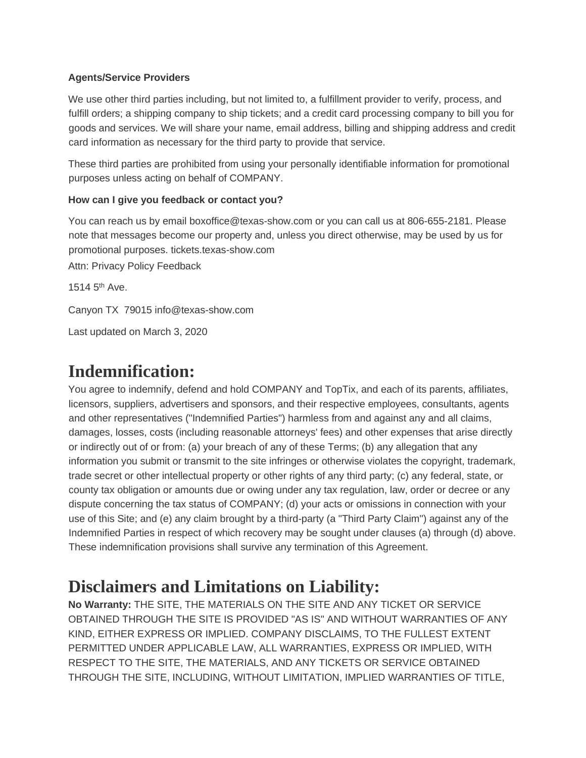#### **Agents/Service Providers**

We use other third parties including, but not limited to, a fulfillment provider to verify, process, and fulfill orders; a shipping company to ship tickets; and a credit card processing company to bill you for goods and services. We will share your name, email address, billing and shipping address and credit card information as necessary for the third party to provide that service.

These third parties are prohibited from using your personally identifiable information for promotional purposes unless acting on behalf of COMPANY.

#### **How can I give you feedback or contact you?**

You can reach us by email boxoffice@texas-show.com or you can call us at 806-655-2181. Please note that messages become our property and, unless you direct otherwise, may be used by us for promotional purposes. tickets.texas-show.com

Attn: Privacy Policy Feedback

1514  $5<sup>th</sup>$  Ave.

Canyon TX 79015 info@texas-show.com

Last updated on March 3, 2020

### **Indemnification:**

You agree to indemnify, defend and hold COMPANY and TopTix, and each of its parents, affiliates, licensors, suppliers, advertisers and sponsors, and their respective employees, consultants, agents and other representatives ("Indemnified Parties") harmless from and against any and all claims, damages, losses, costs (including reasonable attorneys' fees) and other expenses that arise directly or indirectly out of or from: (a) your breach of any of these Terms; (b) any allegation that any information you submit or transmit to the site infringes or otherwise violates the copyright, trademark, trade secret or other intellectual property or other rights of any third party; (c) any federal, state, or county tax obligation or amounts due or owing under any tax regulation, law, order or decree or any dispute concerning the tax status of COMPANY; (d) your acts or omissions in connection with your use of this Site; and (e) any claim brought by a third-party (a "Third Party Claim") against any of the Indemnified Parties in respect of which recovery may be sought under clauses (a) through (d) above. These indemnification provisions shall survive any termination of this Agreement.

### **Disclaimers and Limitations on Liability:**

**No Warranty:** THE SITE, THE MATERIALS ON THE SITE AND ANY TICKET OR SERVICE OBTAINED THROUGH THE SITE IS PROVIDED "AS IS" AND WITHOUT WARRANTIES OF ANY KIND, EITHER EXPRESS OR IMPLIED. COMPANY DISCLAIMS, TO THE FULLEST EXTENT PERMITTED UNDER APPLICABLE LAW, ALL WARRANTIES, EXPRESS OR IMPLIED, WITH RESPECT TO THE SITE, THE MATERIALS, AND ANY TICKETS OR SERVICE OBTAINED THROUGH THE SITE, INCLUDING, WITHOUT LIMITATION, IMPLIED WARRANTIES OF TITLE,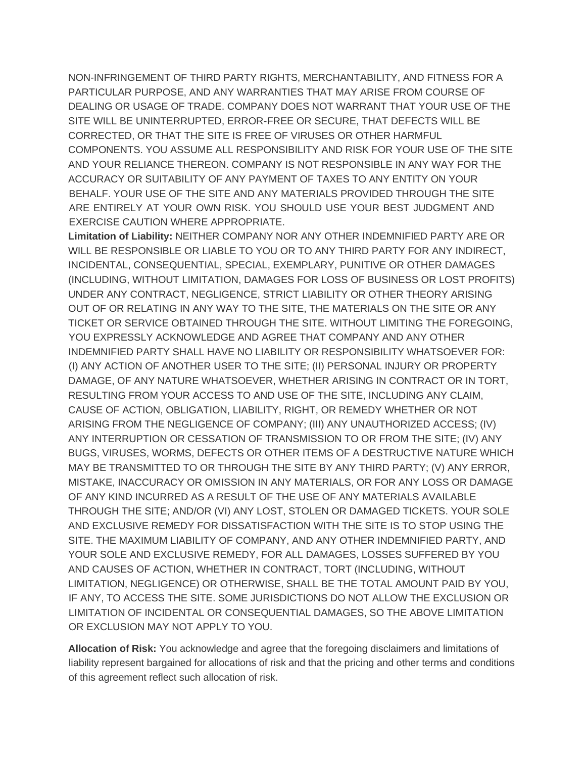NON-INFRINGEMENT OF THIRD PARTY RIGHTS, MERCHANTABILITY, AND FITNESS FOR A PARTICULAR PURPOSE, AND ANY WARRANTIES THAT MAY ARISE FROM COURSE OF DEALING OR USAGE OF TRADE. COMPANY DOES NOT WARRANT THAT YOUR USE OF THE SITE WILL BE UNINTERRUPTED, ERROR-FREE OR SECURE, THAT DEFECTS WILL BE CORRECTED, OR THAT THE SITE IS FREE OF VIRUSES OR OTHER HARMFUL COMPONENTS. YOU ASSUME ALL RESPONSIBILITY AND RISK FOR YOUR USE OF THE SITE AND YOUR RELIANCE THEREON. COMPANY IS NOT RESPONSIBLE IN ANY WAY FOR THE ACCURACY OR SUITABILITY OF ANY PAYMENT OF TAXES TO ANY ENTITY ON YOUR BEHALF. YOUR USE OF THE SITE AND ANY MATERIALS PROVIDED THROUGH THE SITE ARE ENTIRELY AT YOUR OWN RISK. YOU SHOULD USE YOUR BEST JUDGMENT AND EXERCISE CAUTION WHERE APPROPRIATE.

**Limitation of Liability:** NEITHER COMPANY NOR ANY OTHER INDEMNIFIED PARTY ARE OR WILL BE RESPONSIBLE OR LIABLE TO YOU OR TO ANY THIRD PARTY FOR ANY INDIRECT, INCIDENTAL, CONSEQUENTIAL, SPECIAL, EXEMPLARY, PUNITIVE OR OTHER DAMAGES (INCLUDING, WITHOUT LIMITATION, DAMAGES FOR LOSS OF BUSINESS OR LOST PROFITS) UNDER ANY CONTRACT, NEGLIGENCE, STRICT LIABILITY OR OTHER THEORY ARISING OUT OF OR RELATING IN ANY WAY TO THE SITE, THE MATERIALS ON THE SITE OR ANY TICKET OR SERVICE OBTAINED THROUGH THE SITE. WITHOUT LIMITING THE FOREGOING, YOU EXPRESSLY ACKNOWLEDGE AND AGREE THAT COMPANY AND ANY OTHER INDEMNIFIED PARTY SHALL HAVE NO LIABILITY OR RESPONSIBILITY WHATSOEVER FOR: (I) ANY ACTION OF ANOTHER USER TO THE SITE; (II) PERSONAL INJURY OR PROPERTY DAMAGE, OF ANY NATURE WHATSOEVER, WHETHER ARISING IN CONTRACT OR IN TORT, RESULTING FROM YOUR ACCESS TO AND USE OF THE SITE, INCLUDING ANY CLAIM, CAUSE OF ACTION, OBLIGATION, LIABILITY, RIGHT, OR REMEDY WHETHER OR NOT ARISING FROM THE NEGLIGENCE OF COMPANY; (III) ANY UNAUTHORIZED ACCESS; (IV) ANY INTERRUPTION OR CESSATION OF TRANSMISSION TO OR FROM THE SITE; (IV) ANY BUGS, VIRUSES, WORMS, DEFECTS OR OTHER ITEMS OF A DESTRUCTIVE NATURE WHICH MAY BE TRANSMITTED TO OR THROUGH THE SITE BY ANY THIRD PARTY; (V) ANY ERROR, MISTAKE, INACCURACY OR OMISSION IN ANY MATERIALS, OR FOR ANY LOSS OR DAMAGE OF ANY KIND INCURRED AS A RESULT OF THE USE OF ANY MATERIALS AVAILABLE THROUGH THE SITE; AND/OR (VI) ANY LOST, STOLEN OR DAMAGED TICKETS. YOUR SOLE AND EXCLUSIVE REMEDY FOR DISSATISFACTION WITH THE SITE IS TO STOP USING THE SITE. THE MAXIMUM LIABILITY OF COMPANY, AND ANY OTHER INDEMNIFIED PARTY, AND YOUR SOLE AND EXCLUSIVE REMEDY, FOR ALL DAMAGES, LOSSES SUFFERED BY YOU AND CAUSES OF ACTION, WHETHER IN CONTRACT, TORT (INCLUDING, WITHOUT LIMITATION, NEGLIGENCE) OR OTHERWISE, SHALL BE THE TOTAL AMOUNT PAID BY YOU, IF ANY, TO ACCESS THE SITE. SOME JURISDICTIONS DO NOT ALLOW THE EXCLUSION OR LIMITATION OF INCIDENTAL OR CONSEQUENTIAL DAMAGES, SO THE ABOVE LIMITATION OR EXCLUSION MAY NOT APPLY TO YOU.

**Allocation of Risk:** You acknowledge and agree that the foregoing disclaimers and limitations of liability represent bargained for allocations of risk and that the pricing and other terms and conditions of this agreement reflect such allocation of risk.